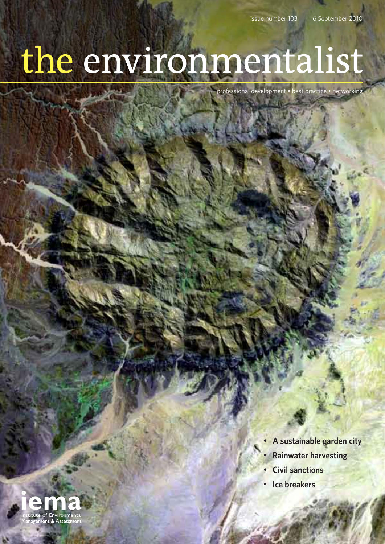## the environmentalist

professional development • best practice • networking

- **• A sustainable garden city**
- **• Rainwater harvesting**
- **• Civil sanctions**
- **• Ice breakers**